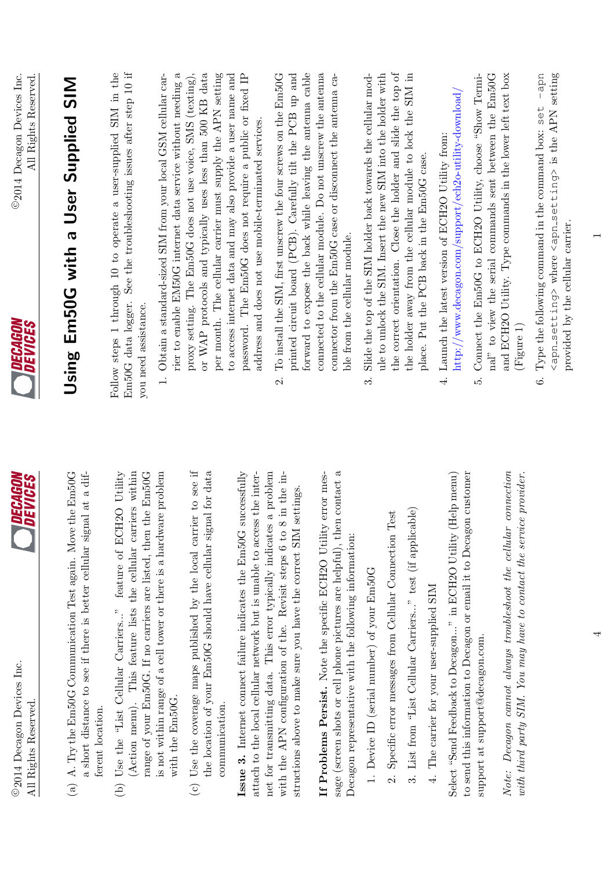

- (a) A. Try the Em50G Communication Test again. Move the Em50G (a) A. Try the Em50G Communication Test again. Move the Em50G  $\overline{G}$ a short distance to see if there is better cellular signal at a difa short distance to see if there is better cellular signal at a different location. ferent location.
- (Action menu). This feature lists the cellular carriers within is not within range of a cell tower or there is a hardware problem range of your Em50G. If no carriers are listed, then the Em50G (b) Use the "List Cellular Carriers..." feature of ECH2O Utility (b) Use the "List Cellular Carriers..." feature of ECH2O Utility (Action menu). This feature lists the cellular carriers within range of your Em50G. If no carriers are listed, then the Em50G is not within range of a cell tower or there is a hardware problem  $\frac{1}{2}$ with the Em50G. with the Em50G.
- (c) Use the coverage maps published by the local carrier to see if the location of your Em50G should have cellular signal for data (c) Use the coverage maps published by the local carrier to see if the location of your Em50G should have cellular signal for data communication. communication.

attach to the local cellular network but is unable to access the internet for transmitting data. This error typically indicates a problem with the APN configuration of the. Revisit steps 6 to 8 in the in-**Issue 3.** Internet connect failure indicates the Em50G successfully Issue 3. Internet connect failure indicates the Em50G successfully net for transmitting data. This error typically indicates a problem<br> $\frac{d}{dx}$  in the April equation of the problem attach to the local cellular network but is unable to access the interwith the APN configuration of the. Revisit steps 6 to 8 in the instructions above to make sure you have the correct SIM settings. structions above to make sure you have the correct SIM settings.

sage (screen shots or cell phone pictures are helpful), then contact a If Problems Persist. Note the specific ECH2O Utility error mes-If Problems Persist. Note the specific ECH2O Utility error message (screen shots or cell phone pictures are helpful), then contact a Decagon representative with the following information: Decagon representative with the following information:

- 1. Device ID (serial number) of your Em50G 1. Device ID (serial number) of your Em50G
- 2. Specific error messages from Cellular Connection Test 2. Specific error messages from Cellular Connection Test
- 3. List from "List Cellular Carriers..." test (if applicable) 3. List from "List Cellular Carriers..." test (if applicable)
- 4. The carrier for your user-supplied SIM 4. The carrier for your user-supplied SIM

to send this information to Decagon or email it to Decagon customer Select "Send Feedback to Decagon..." in ECH2O Utility (Help menu) to send this information to Decagon or email it to Decagon customer Select "Send Feedback to Decagon..." in ECH2O Utility (Help menu) support at support@decagon.com. support at support@decagon.com. Note: Decagon cannot always troubleshoot the cellular connection Note: Decagon cannot always troubleshoot the cellular connection with third party SIM. You may have to contact the service provider. with third party SIM. You may have to contact the service provider.



## Using Em50G with a User Supplied SIM Using Em50G with a User Supplied SIM

Follow steps 1 through 10 to operate a user-supplied SIM in the Em50G data logger. See the troubleshooting issues after step 10 if Em50G data logger. See the troubleshooting issues after step 10 if Follow steps 1 through 10 to operate a user-supplied SIM in the you need assistance. you need assistance.

- rier to enable EM50G internet data service without needing a or WAP protocols and typically uses less than 500 KB data per month. The cellular carrier must supply the APN setting 1. Obtain a standard-sized SIM from your local GSM cellular carproxy setting. The Em50G does not use voice, SMS (texting), to access internet data and may also provide a user name and password. The Em50G does not require a public or fixed IP 1. Obtain a standard-sized SIM from your local GSM cellular carrier to enable EM50G internet data service without needing a proxy setting. The Em50G does not use voice, SMS (texting), or WAP protocols and typically uses less than 500 KB data per month. The cellular carrier must supply the APN setting to access internet data and may also provide a user name and password. The Em50G does not require a public or fixed IP address and does not use mobile-terminated services. address and does not use mobile-terminated services.
- printed circuit board (PCB). Carefully tilt the PCB up and forward to expose the back while leaving the antenna cable To install the SIM, first unscrew the four screws on the Em50G connected to the cellular module. Do not unscrew the antenna connector from the Em50G case or disconnect the antenna ca-2. To install the SIM, first unscrew the four screws on the  $Em50G$ printed circuit board (PCB). Carefully tilt the PCB up and forward to expose the back while leaving the antenna cable connected to the cellular module. Do not unscrew the antenna connector from the Em50G case or disconnect the antenna cable from the cellular module. ble from the cellular module.  $\overline{\Omega}$
- Slide the top of the SIM holder back towards the cellular module to unlock the SIM. Insert the new SIM into the holder with the correct orientation. Close the holder and slide the top of the holder away from the cellular module to lock the SIM in the correct orientation. Close the holder and slide the top of 3. Slide the top of the SIM holder back towards the cellular module to unlock the SIM. Insert the new SIM into the holder with the holder away from the cellular module to lock the SIM in place. Put the PCB back in the Em50G case. place. Put the PCB back in the Em50G case.  $\dot{\delta}$
- http://www.decagon.com/support/ech2o-utility-download/  $\text{http://www.decagon.com/support/ech2o-utility-download/}$ 4. Launch the latest version of ECH2O Utility from: 4. Launch the latest version of ECH2O Utility from:
- 5. Connect the Em50G to ECH2O Utility, choose "Show Terminal" to view the serial commands sent between the Em50G and ECH2O Utility. Type commands in the lower left text box 5. Connect the Em50G to ECH2O Utility, choose "Show Terminal" to view the serial commands sent between the Em50G  $\cdot$ and ECH2O Utility. Type commands in the lower left text box (Figure 1)
- 6. Type the following command in the command box: set -apn <apn\_setting> where <apn\_setting> is the APN setting 6. Type the following command in the command box: set  $-$ apn  $\langle$ apn\_setting> where  $\langle$ apn\_setting $\lambda$  is the APN setting provided by the cellular carrier. provided by the cellular carrier.